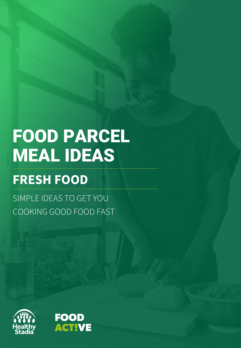# FOOD PARCEL MEAL IDEAS

# **FRESH FOOD**

SIMPLE IDEAS TO GET YOU COOKING GOOD FOOD FAST



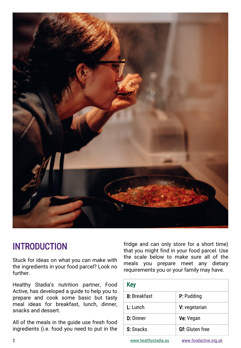

## INTRODUCTION

Stuck for ideas on what you can make with the ingredients in your food parcel? Look no further.

fridge and can only store for a short time) that you might find in your food parcel. Use the scale below to make sure all of the meals you prepare meet any dietary requirements you or your family may have.

| Healthy Stadia's nutrition partner, Food<br>Active, has developed a guide to help you to<br>prepare and cook some basic but tasty<br>meal ideas for breakfast, lunch, dinner,<br>snacks and dessert. | <b>Key</b>           |                        |
|------------------------------------------------------------------------------------------------------------------------------------------------------------------------------------------------------|----------------------|------------------------|
|                                                                                                                                                                                                      | <b>B:</b> Breakfast  | P: Pudding             |
|                                                                                                                                                                                                      | L: Lunch             | V: vegetarian          |
| All of the meals in the guide use fresh food<br>ingredients (i.e. food you need to put in the                                                                                                        | <b>D:</b> Dinner     | Ve: Vegan              |
|                                                                                                                                                                                                      | S: Snacks            | <b>Gf:</b> Gluten free |
| $\overline{2}$                                                                                                                                                                                       | www.healthystadia.eu | www.foodactive.org.uk  |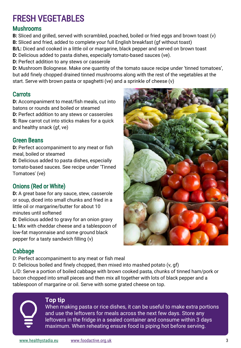# FRESH VEGETABLES

#### Mushrooms

**B:** Sliced and grilled, served with scrambled, poached, boiled or fried eggs and brown toast (v) **B:** Sliced and fried, added to complete your full English breakfast (gf without toast) **B/L:** Diced and cooked in a little oil or margarine, black pepper and served on brown toast **D:** Delicious added to pasta dishes, especially tomato-based sauces (ve). **D:** Perfect addition to any stews or casserole

**D:** Mushroom Bolognese. Make one quantity of the tomato sauce recipe under 'tinned tomatoes', but add finely chopped drained tinned mushrooms along with the rest of the vegetables at the start. Serve with brown pasta or spaghetti (ve) and a sprinkle of cheese (v)

#### **Carrots**

**D:** Accompaniment to meat/fish meals, cut into batons or rounds and boiled or steamed **D:** Perfect addition to any stews or casseroles **S:** Raw carrot cut into sticks makes for a quick and healthy snack (gf, ve)

#### Green Beans

**D:** Perfect accompaniment to any meat or fish meal, boiled or steamed

**D:** Delicious added to pasta dishes, especially tomato-based sauces. See recipe under 'Tinned Tomatoes' (ve)

#### Onions (Red or White)

**D:** A great base for any sauce, stew, casserole or soup, diced into small chunks and fried in a little oil or margarine/butter for about 10 minutes until softened

**D:** Delicious added to gravy for an onion gravy **L:** Mix with cheddar cheese and a tablespoon of low-fat mayonnaise and some ground black pepper for a tasty sandwich filling (v)

#### Cabbage

D: Perfect accompaniment to any meat or fish meal

D: Delicious boiled and finely chopped, then mixed into mashed potato (v, gf) L/D: Serve a portion of boiled cabbage with brown cooked pasta, chunks of tinned ham/pork or bacon chopped into small pieces and then mix all together with lots of black pepper and a tablespoon of margarine or oil. Serve with some grated cheese on top.

#### **Top tip**

When making pasta or rice dishes, it can be useful to make extra portions and use the leftovers for meals across the next few days. Store any leftovers in the fridge in a sealed container and consume within 3 days maximum. When reheating ensure food is piping hot before serving.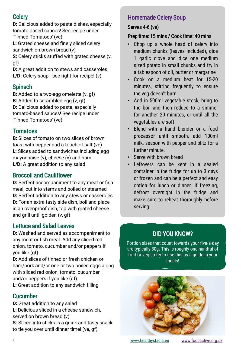### **Celery**

**D:** Delicious added to pasta dishes, especially tomato based sauces! See recipe under 'Tinned Tomatoes' (ve)

**L:** Grated cheese and finely sliced celery sandwich on brown bread (v)

**S:** Celery sticks stuffed with grated cheese (v, gf)

**D:** A great addition to stews and casseroles. **L/D:** Celery soup - see right for recipe! (v)

#### Spinach

**B:** Added to a two-egg omelette (v, gf) **B:** Added to scrambled egg (v, gf) **D:** Delicious added to pasta, especially tomato-based sauces! See recipe under 'Tinned Tomatoes' (ve)

### **Tomatoes**

**B:** Slices of tomato on two slices of brown toast with pepper and a touch of salt (ve) **L:** Slices added to sandwiches including egg mayonnaise (v), cheese (v) and ham L/D: A great addition to any salad

#### Broccoli and Cauliflower

**D:** Perfect accompaniment to any meat or fish meal, cut into stems and boiled or steamed **D:** Perfect addition to any stews or casseroles **D:** For an extra tasty side dish, boil and place in an ovenproof dish, top with grated cheese and grill until golden (v, gf)

#### Lettuce and Salad Leaves

**D:** Washed and served as accompaniment to any meat or fish meal. Add any sliced red onion, tomato, cucumber and/or peppers if you like (gf).

**D:** Add slices of tinned or fresh chicken or ham/pork and/or one or two boiled eggs along with sliced red onion, tomato, cucumber and/or peppers if you like (gf).

**L:** Great addition to any sandwich filling

#### **Cucumber**

**D:** Great addition to any salad **L:** Delicious sliced in a cheese sandwich, served on brown bread (v) **S:** Sliced into sticks is a quick and tasty snack to tie you over until dinner time! (ve, gf)

### Homemade Celery Soup

#### Serves 4-6 (ve)

#### Prep time: 15 mins / Cook time: 40 mins

- Chop up a whole head of celery into medium chunks (leaves included), dice 1 garlic clove and dice one medium sized potato in small chunks and fry in a tablespoon of oil, butter or margarine
- Cook on a medium heat for 15-20 minutes, stirring frequently to ensure the veg doesn't burn
- Add in 500ml vegetable stock, bring to the boil and then reduce to a simmer for another 20 minutes, or until all the vegetables are soft
- Blend with a hand blender or a food processor until smooth, add 100ml milk, season with pepper and blitz for a further minute.
- Serve with brown bread
- Leftovers can be kept in a sealed container in the fridge for up to 3 days or frozen and can be a perfect and easy option for lunch or dinner. If freezing, defrost overnight in the fridge and make sure to reheat thoroughly before serving

## DID YOU KNOW?

Portion sizes that count towards your five-a-day are typically 80g. This is roughly one handful of fruit or veg so try to use this as a guide in your meals!



[www.healthystadia.eu](http://www.healthystadia.eu/) [www.foodactive.org.uk](http://www.foodactive.org.uk/)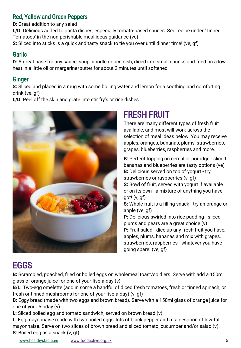#### Red, Yellow and Green Peppers

**D:** Great addition to any salad

**L/D:** Delicious added to pasta dishes, especially tomato-based sauces. See recipe under 'Tinned Tomatoes' in the non-perishable meal ideas guidance (ve)

**S:** Sliced into sticks is a quick and tasty snack to tie you over until dinner time! (ve, gf)

#### **Garlic**

**D:** A great base for any sauce, soup, noodle or rice dish, diced into small chunks and fried on a low heat in a little oil or margarine/butter for about 2 minutes until softened

#### Ginger

**S:** Sliced and placed in a mug with some boiling water and lemon for a soothing and comforting drink (ve, gf)

L/D: Peel off the skin and grate into stir fry's or rice dishes



# FRESH FRUIT

going spare! (ve, gf)

There are many different types of fresh fruit available, and most will work across the selection of meal ideas below. You may receive apples, oranges, bananas, plums, strawberries, grapes, blueberries, raspberries and more.

**B:** Perfect topping on cereal or porridge - sliced bananas and blueberries are tasty options (ve) **B:** Delicious served on top of yogurt - try strawberries or raspberries (v, gf) **S:** Bowl of fruit, served with yogurt if available or on its own - a mixture of anything you have got! (v, gf) **S:** Whole fruit is a filling snack - try an orange or apple (ve, gf) **P:** Delicious swirled into rice pudding - sliced plums and pears are a great choice (v) **P:** Fruit salad - dice up any fresh fruit you have, apples, plums, bananas and mix with grapes, strawberries, raspberries - whatever you have

# EGGS

**B:** Scrambled, poached, fried or boiled eggs on wholemeal toast/soldiers. Serve with add a 150ml glass of orange juice for one of your five-a-day (v)

**B/L:** Two-egg omelette (add in some a handful of diced fresh tomatoes, fresh or tinned spinach, or fresh or tinned mushrooms for one of your five-a-day) (v, gf)

**B:** Eggy bread (made with two eggs and brown bread). Serve with a 150ml glass of orange juice for one of your 5-aday (v).

**L:** Sliced boiled egg and tomato sandwich, served on brown bread (v)

**L:** Egg mayonnaise made with two boiled eggs, lots of black pepper and a tablespoon of low-fat mayonnaise. Serve on two slices of brown bread and sliced tomato, cucumber and/or salad (v). **S:** Boiled egg as a snack (v, gf)